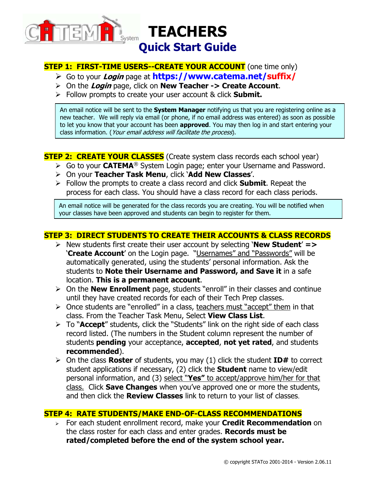

### **STEP 1: FIRST-TIME USERS--CREATE YOUR ACCOUNT** (one time only)

- Go to your **Login** page at **https://www.catema.net/suffix/**
- On the **Login** page, click on **New Teacher -> Create Account**.
- Follow prompts to create your user account & click **Submit.**

An email notice will be sent to the **System Manager** notifying us that you are registering online as a new teacher. We will reply via email (or phone, if no email address was entered) as soon as possible to let you know that your account has been **approved**. You may then log in and start entering your class information. (Your email address will facilitate the process).

### **STEP 2: CREATE YOUR CLASSES** (Create system class records each school year)

- **►** Go to your CATEMA<sup>®</sup> System Login page; enter your Username and Password.
- On your **Teacher Task Menu**, click '**Add New Classes**'.
- Follow the prompts to create a class record and click **Submit**. Repeat the process for each class. You should have a class record for each class periods.

An email notice will be generated for the class records you are creating. You will be notified when your classes have been approved and students can begin to register for them.

## **STEP 3: DIRECT STUDENTS TO CREATE THEIR ACCOUNTS & CLASS RECORDS**

- New students first create their user account by selecting '**New Student**' **=>**  '**Create Account**' on the Login page."Usernames" and "Passwords" will be automatically generated, using the students' personal information. Ask the students to **Note their Username and Password, and Save it** in a safe location. **This is a permanent account**.
- On the **New Enrollment** page, students "enroll" in their classes and continue until they have created records for each of their Tech Prep classes.
- $\triangleright$  Once students are "enrolled" in a class, teachers must "accept" them in that class. From the Teacher Task Menu, Select **View Class List**.
- To "**Accept**" students, click the "Students" link on the right side of each class record listed. (The numbers in the Student column represent the number of students **pending** your acceptance, **accepted**, **not yet rated**, and students **recommended**).
- On the class **Roster** of students, you may (1) click the student **ID#** to correct student applications if necessary, (2) click the **Student** name to view/edit personal information, and (3) select "**Yes"** to accept/approve him/her for that class. Click **Save Changes** when you've approved one or more the students, and then click the **Review Classes** link to return to your list of classes.

#### **STEP 4: RATE STUDENTS/MAKE END-OF-CLASS RECOMMENDATIONS**

 For each student enrollment record, make your **Credit Recommendation** on the class roster for each class and enter grades. **Records must be rated/completed before the end of the system school year.**